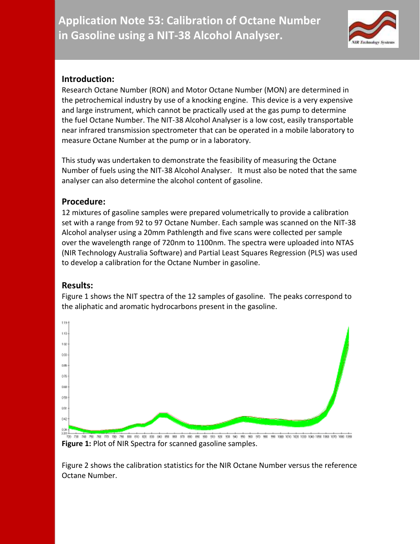**Application Note 53: Calibration of Octane Number in Gasoline using a NIT-38 Alcohol Analyser.**



## **Introduction:**

Research Octane Number (RON) and Motor Octane Number (MON) are determined in the petrochemical industry by use of a knocking engine. This device is a very expensive and large instrument, which cannot be practically used at the gas pump to determine the fuel Octane Number. The NIT-38 Alcohol Analyser is a low cost, easily transportable near infrared transmission spectrometer that can be operated in a mobile laboratory to measure Octane Number at the pump or in a laboratory.

This study was undertaken to demonstrate the feasibility of measuring the Octane Number of fuels using the NIT-38 Alcohol Analyser. It must also be noted that the same analyser can also determine the alcohol content of gasoline.

## **Procedure:**

12 mixtures of gasoline samples were prepared volumetrically to provide a calibration set with a range from 92 to 97 Octane Number. Each sample was scanned on the NIT-38 Alcohol analyser using a 20mm Pathlength and five scans were collected per sample over the wavelength range of 720nm to 1100nm. The spectra were uploaded into NTAS (NIR Technology Australia Software) and Partial Least Squares Regression (PLS) was used to develop a calibration for the Octane Number in gasoline.

## **Results:**

Figure 1 shows the NIT spectra of the 12 samples of gasoline. The peaks correspond to the aliphatic and aromatic hydrocarbons present in the gasoline.



**Figure 1:** Plot of NIR Spectra for scanned gasoline samples.

Figure 2 shows the calibration statistics for the NIR Octane Number versus the reference Octane Number.